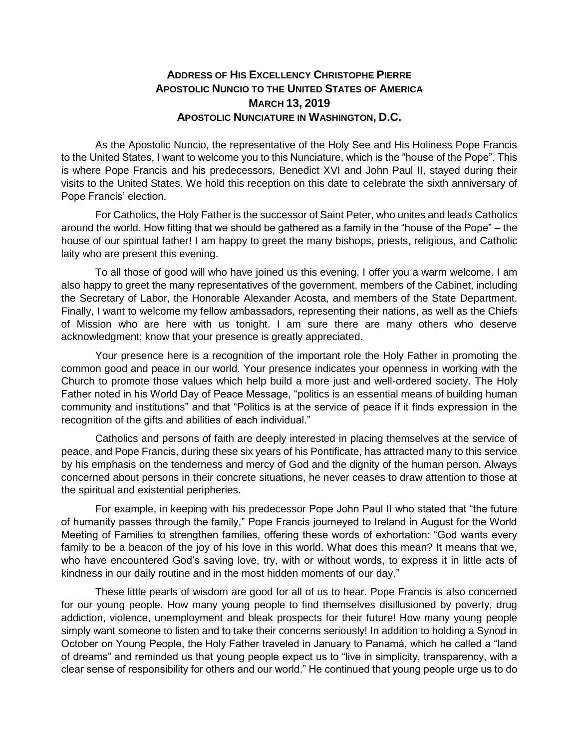## **ADDRESS OF HIS EXCELLENCY CHRISTOPHE PIERRE APOSTOLIC NUNCIO TO THE UNITED STATES OF AMERICA MARCH 13, 2019 APOSTOLIC NUNCIATURE IN WASHINGTON, D.C.**

As the Apostolic Nuncio, the representative of the Holy See and His Holiness Pope Francis to the United States, I want to welcome you to this Nunciature, which is the "house of the Pope". This is where Pope Francis and his predecessors, Benedict XVI and John Paul II, stayed during their visits to the United States. We hold this reception on this date to celebrate the sixth anniversary of Pope Francis' election.

For Catholics, the Holy Father is the successor of Saint Peter, who unites and leads Catholics around the world. How fitting that we should be gathered as a family in the "house of the Pope" – the house of our spiritual father! I am happy to greet the many bishops, priests, religious, and Catholic laity who are present this evening.

To all those of good will who have joined us this evening, I offer you a warm welcome. I am also happy to greet the many representatives of the government, members of the Cabinet, including the Secretary of Labor, the Honorable Alexander Acosta, and members of the State Department. Finally, I want to welcome my fellow ambassadors, representing their nations, as well as the Chiefs of Mission who are here with us tonight. I am sure there are many others who deserve acknowledgment; know that your presence is greatly appreciated.

Your presence here is a recognition of the important role the Holy Father in promoting the common good and peace in our world. Your presence indicates your openness in working with the Church to promote those values which help build a more just and well-ordered society. The Holy Father noted in his World Day of Peace Message, "politics is an essential means of building human community and institutions" and that "Politics is at the service of peace if it finds expression in the recognition of the gifts and abilities of each individual."

Catholics and persons of faith are deeply interested in placing themselves at the service of peace, and Pope Francis, during these six years of his Pontificate, has attracted many to this service by his emphasis on the tenderness and mercy of God and the dignity of the human person. Always concerned about persons in their concrete situations, he never ceases to draw attention to those at the spiritual and existential peripheries.

For example, in keeping with his predecessor Pope John Paul II who stated that "the future of humanity passes through the family," Pope Francis journeyed to Ireland in August for the World Meeting of Families to strengthen families, offering these words of exhortation: "God wants every family to be a beacon of the joy of his love in this world. What does this mean? It means that we, who have encountered God's saving love, try, with or without words, to express it in little acts of kindness in our daily routine and in the most hidden moments of our day."

These little pearls of wisdom are good for all of us to hear. Pope Francis is also concerned for our young people. How many young people to find themselves disillusioned by poverty, drug addiction, violence, unemployment and bleak prospects for their future! How many young people simply want someone to listen and to take their concerns seriously! In addition to holding a Synod in October on Young People, the Holy Father traveled in January to Panamá, which he called a "land of dreams" and reminded us that young people expect us to "live in simplicity, transparency, with a clear sense of responsibility for others and our world." He continued that young people urge us to do